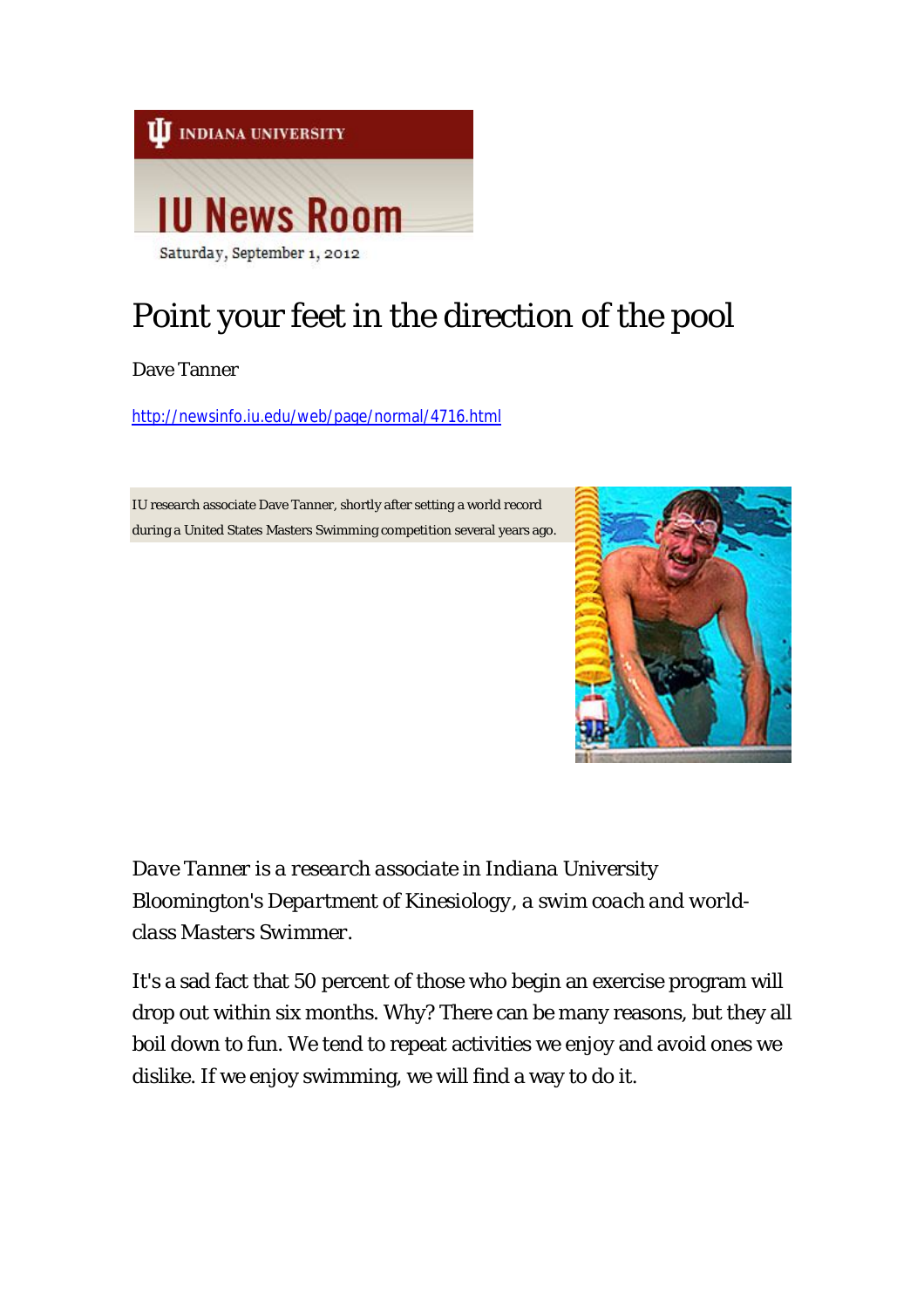

## Point your feet in the direction of the pool

Dave Tanner

http://newsinfo.iu.edu/web/page/normal/4716.html

IU research associate Dave Tanner, shortly after setting a world record during a United States Masters Swimming competition several years ago.



*Dave Tanner is a research associate in Indiana University Bloomington's Department of Kinesiology, a swim coach and worldclass Masters Swimmer.*

It's a sad fact that 50 percent of those who begin an exercise program will drop out within six months. Why? There can be many reasons, but they all boil down to fun. We tend to repeat activities we enjoy and avoid ones we dislike. If we enjoy swimming, we will find a way to do it.